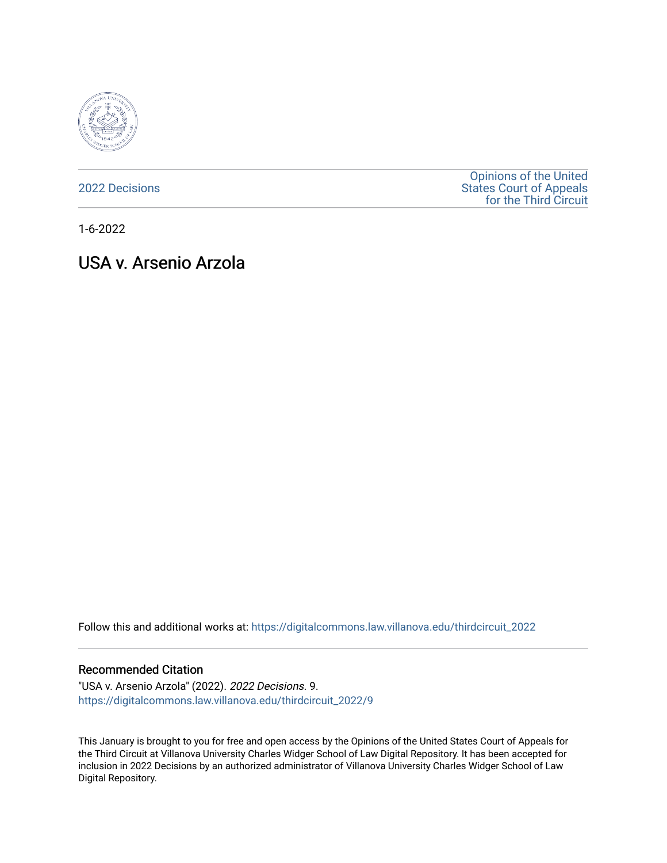

[2022 Decisions](https://digitalcommons.law.villanova.edu/thirdcircuit_2022)

[Opinions of the United](https://digitalcommons.law.villanova.edu/thirdcircuit)  [States Court of Appeals](https://digitalcommons.law.villanova.edu/thirdcircuit)  [for the Third Circuit](https://digitalcommons.law.villanova.edu/thirdcircuit) 

1-6-2022

# USA v. Arsenio Arzola

Follow this and additional works at: [https://digitalcommons.law.villanova.edu/thirdcircuit\\_2022](https://digitalcommons.law.villanova.edu/thirdcircuit_2022?utm_source=digitalcommons.law.villanova.edu%2Fthirdcircuit_2022%2F9&utm_medium=PDF&utm_campaign=PDFCoverPages) 

### Recommended Citation

"USA v. Arsenio Arzola" (2022). 2022 Decisions. 9. [https://digitalcommons.law.villanova.edu/thirdcircuit\\_2022/9](https://digitalcommons.law.villanova.edu/thirdcircuit_2022/9?utm_source=digitalcommons.law.villanova.edu%2Fthirdcircuit_2022%2F9&utm_medium=PDF&utm_campaign=PDFCoverPages) 

This January is brought to you for free and open access by the Opinions of the United States Court of Appeals for the Third Circuit at Villanova University Charles Widger School of Law Digital Repository. It has been accepted for inclusion in 2022 Decisions by an authorized administrator of Villanova University Charles Widger School of Law Digital Repository.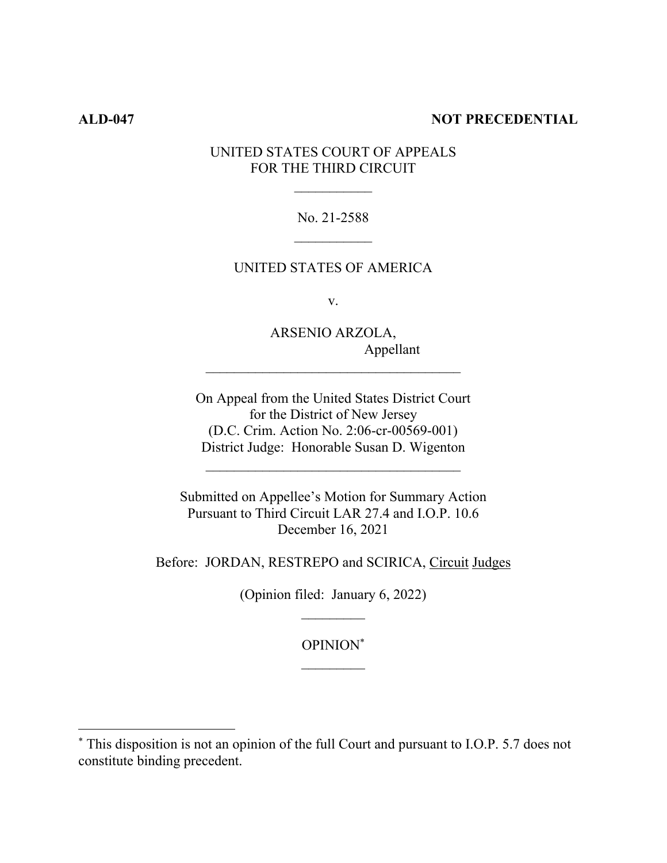# **ALD-047 NOT PRECEDENTIAL**

# UNITED STATES COURT OF APPEALS FOR THE THIRD CIRCUIT

No. 21-2588

# UNITED STATES OF AMERICA

v.

ARSENIO ARZOLA, Appellant

On Appeal from the United States District Court for the District of New Jersey (D.C. Crim. Action No. 2:06-cr-00569-001) District Judge: Honorable Susan D. Wigenton

 $\mathcal{L}_\text{max}$ 

Submitted on Appellee's Motion for Summary Action Pursuant to Third Circuit LAR 27.4 and I.O.P. 10.6 December 16, 2021

Before: JORDAN, RESTREPO and SCIRICA, Circuit Judges

(Opinion filed: January 6, 2022)

OPINION\*

<sup>\*</sup> This disposition is not an opinion of the full Court and pursuant to I.O.P. 5.7 does not constitute binding precedent.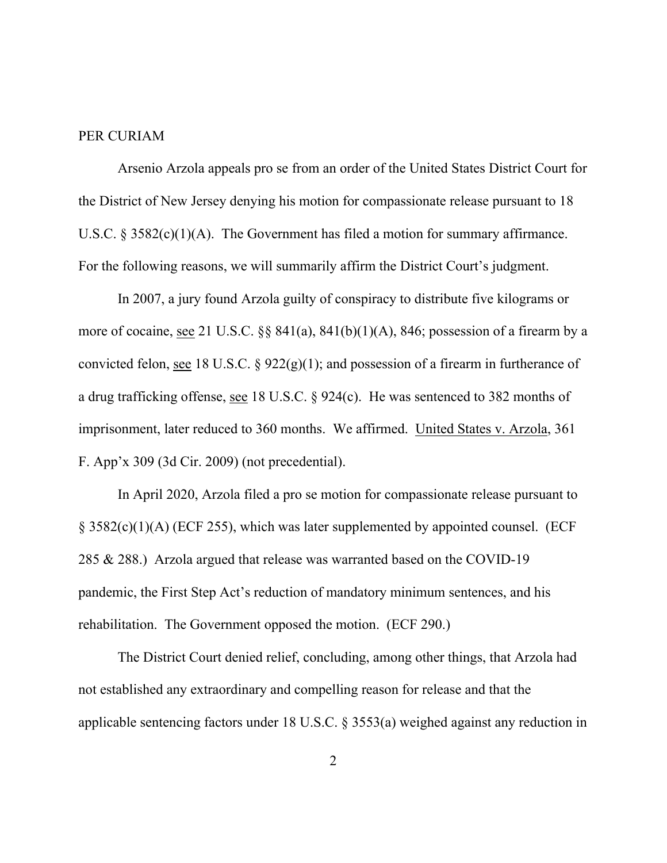# PER CURIAM

 Arsenio Arzola appeals pro se from an order of the United States District Court for the District of New Jersey denying his motion for compassionate release pursuant to 18 U.S.C.  $\S 3582(c)(1)(A)$ . The Government has filed a motion for summary affirmance. For the following reasons, we will summarily affirm the District Court's judgment.

 In 2007, a jury found Arzola guilty of conspiracy to distribute five kilograms or more of cocaine, see 21 U.S.C. §§ 841(a), 841(b)(1)(A), 846; possession of a firearm by a convicted felon, see 18 U.S.C. §  $922(g)(1)$ ; and possession of a firearm in furtherance of a drug trafficking offense, see 18 U.S.C. § 924(c). He was sentenced to 382 months of imprisonment, later reduced to 360 months. We affirmed. United States v. Arzola, 361 F. App'x 309 (3d Cir. 2009) (not precedential).

 In April 2020, Arzola filed a pro se motion for compassionate release pursuant to § 3582(c)(1)(A) (ECF 255), which was later supplemented by appointed counsel. (ECF 285 & 288.) Arzola argued that release was warranted based on the COVID-19 pandemic, the First Step Act's reduction of mandatory minimum sentences, and his rehabilitation. The Government opposed the motion. (ECF 290.)

The District Court denied relief, concluding, among other things, that Arzola had not established any extraordinary and compelling reason for release and that the applicable sentencing factors under 18 U.S.C. § 3553(a) weighed against any reduction in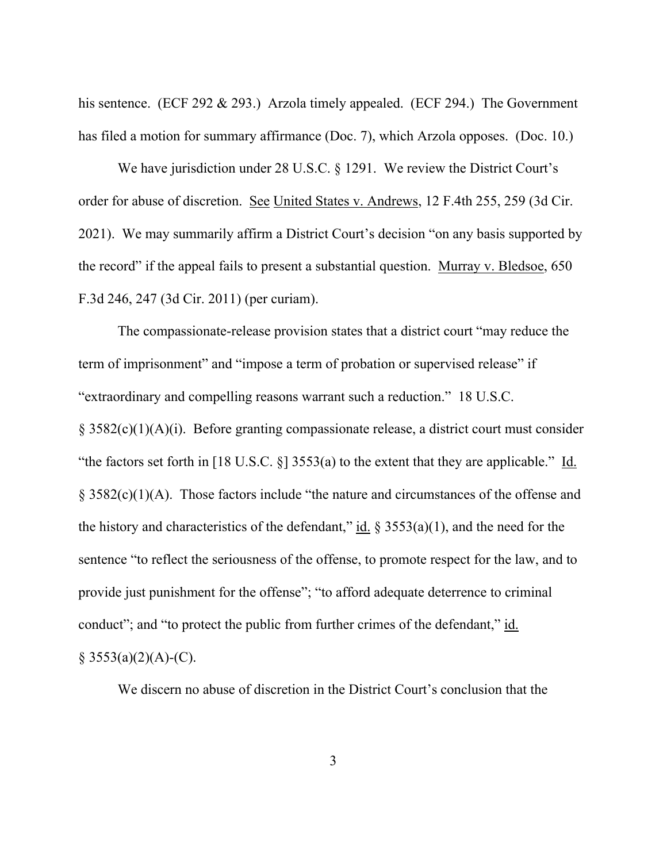his sentence. (ECF 292 & 293.) Arzola timely appealed. (ECF 294.) The Government has filed a motion for summary affirmance (Doc. 7), which Arzola opposes. (Doc. 10.)

We have jurisdiction under 28 U.S.C. § 1291. We review the District Court's order for abuse of discretion. See United States v. Andrews, 12 F.4th 255, 259 (3d Cir. 2021). We may summarily affirm a District Court's decision "on any basis supported by the record" if the appeal fails to present a substantial question. Murray v. Bledsoe, 650 F.3d 246, 247 (3d Cir. 2011) (per curiam).

The compassionate-release provision states that a district court "may reduce the term of imprisonment" and "impose a term of probation or supervised release" if "extraordinary and compelling reasons warrant such a reduction." 18 U.S.C. § 3582(c)(1)(A)(i). Before granting compassionate release, a district court must consider "the factors set forth in [18 U.S.C. §] 3553(a) to the extent that they are applicable." Id. § 3582(c)(1)(A). Those factors include "the nature and circumstances of the offense and the history and characteristics of the defendant," id.  $\S 3553(a)(1)$ , and the need for the sentence "to reflect the seriousness of the offense, to promote respect for the law, and to provide just punishment for the offense"; "to afford adequate deterrence to criminal conduct"; and "to protect the public from further crimes of the defendant," id.  $§ 3553(a)(2)(A)-(C).$ 

We discern no abuse of discretion in the District Court's conclusion that the